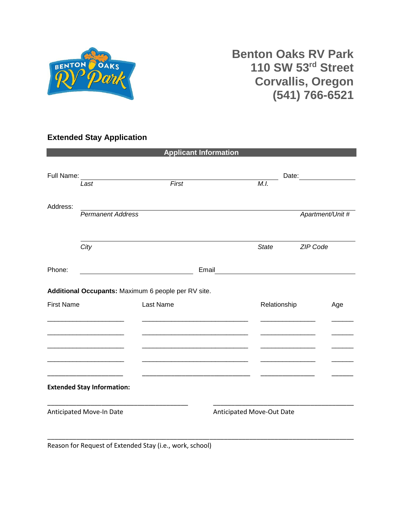

## **Benton Oaks RV Park 110 SW 53rd Street Corvallis, Oregon (541) 766-6521**

## **Extended Stay Application**

| <b>Applicant Information</b> |                                                     |                                      |       |                                                                                                                       |                                                                                                                                                                                                                                |  |
|------------------------------|-----------------------------------------------------|--------------------------------------|-------|-----------------------------------------------------------------------------------------------------------------------|--------------------------------------------------------------------------------------------------------------------------------------------------------------------------------------------------------------------------------|--|
|                              |                                                     |                                      |       |                                                                                                                       |                                                                                                                                                                                                                                |  |
| Full Name:                   |                                                     |                                      |       |                                                                                                                       | Date: the contract of the contract of the contract of the contract of the contract of the contract of the contract of the contract of the contract of the contract of the contract of the contract of the contract of the cont |  |
|                              | Last                                                | First                                |       | M.I.                                                                                                                  |                                                                                                                                                                                                                                |  |
|                              |                                                     |                                      |       |                                                                                                                       |                                                                                                                                                                                                                                |  |
| Address:                     | <b>Permanent Address</b>                            |                                      |       |                                                                                                                       | Apartment/Unit #                                                                                                                                                                                                               |  |
|                              |                                                     |                                      |       |                                                                                                                       |                                                                                                                                                                                                                                |  |
|                              |                                                     |                                      |       |                                                                                                                       |                                                                                                                                                                                                                                |  |
|                              | City                                                |                                      |       | <b>State</b>                                                                                                          | ZIP Code                                                                                                                                                                                                                       |  |
| Phone:                       |                                                     |                                      | Email |                                                                                                                       |                                                                                                                                                                                                                                |  |
|                              |                                                     |                                      |       | <u> 1989 - John Stein, mars and de Branch and de Branch and de Branch and de Branch and de Branch and de Branch a</u> |                                                                                                                                                                                                                                |  |
|                              | Additional Occupants: Maximum 6 people per RV site. |                                      |       |                                                                                                                       |                                                                                                                                                                                                                                |  |
| <b>First Name</b>            |                                                     | Last Name                            |       | Relationship                                                                                                          | Age                                                                                                                                                                                                                            |  |
|                              |                                                     |                                      |       |                                                                                                                       |                                                                                                                                                                                                                                |  |
|                              |                                                     |                                      |       |                                                                                                                       |                                                                                                                                                                                                                                |  |
|                              |                                                     |                                      |       |                                                                                                                       |                                                                                                                                                                                                                                |  |
|                              |                                                     |                                      |       |                                                                                                                       |                                                                                                                                                                                                                                |  |
|                              |                                                     |                                      |       |                                                                                                                       |                                                                                                                                                                                                                                |  |
|                              | <b>Extended Stay Information:</b>                   |                                      |       |                                                                                                                       |                                                                                                                                                                                                                                |  |
|                              |                                                     |                                      |       |                                                                                                                       |                                                                                                                                                                                                                                |  |
| Anticipated Move-In Date     |                                                     |                                      |       | Anticipated Move-Out Date                                                                                             |                                                                                                                                                                                                                                |  |
|                              |                                                     |                                      |       |                                                                                                                       |                                                                                                                                                                                                                                |  |
|                              | $\epsilon = 1$                                      | $\cdot$<br>$\mathbf{r}$ $\mathbf{r}$ |       |                                                                                                                       |                                                                                                                                                                                                                                |  |

Reason for Request of Extended Stay (i.e., work, school)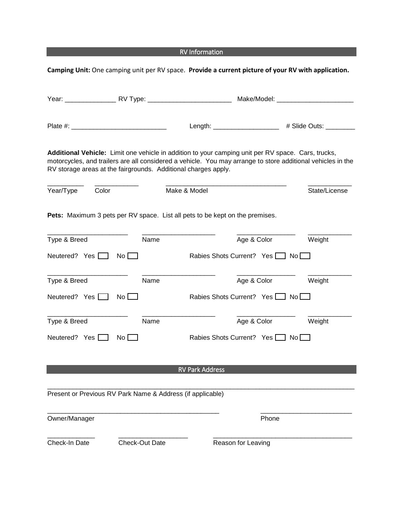<u>response to the contract of the contract of the contract of the contract of the contract of the contract of the con</u><br>The contract of the contract of the contract of the contract of the contract of the contract of the cont

|                      |                                                                |                                                                              | Camping Unit: One camping unit per RV space. Provide a current picture of your RV with application.                                                                                                               |
|----------------------|----------------------------------------------------------------|------------------------------------------------------------------------------|-------------------------------------------------------------------------------------------------------------------------------------------------------------------------------------------------------------------|
|                      |                                                                |                                                                              |                                                                                                                                                                                                                   |
|                      |                                                                |                                                                              | Length: ______________________ # Slide Outs: _______                                                                                                                                                              |
|                      | RV storage areas at the fairgrounds. Additional charges apply. |                                                                              | Additional Vehicle: Limit one vehicle in addition to your camping unit per RV space. Cars, trucks,<br>motorcycles, and trailers are all considered a vehicle. You may arrange to store additional vehicles in the |
| Color<br>Year/Type   |                                                                | Make & Model                                                                 | State/License                                                                                                                                                                                                     |
|                      |                                                                | Pets: Maximum 3 pets per RV space. List all pets to be kept on the premises. |                                                                                                                                                                                                                   |
| Type & Breed         | Name                                                           | Age & Color                                                                  | Weight                                                                                                                                                                                                            |
| Neutered? Yes $\Box$ | $No$ $\Box$                                                    | Rabies Shots Current? Yes No                                                 |                                                                                                                                                                                                                   |
| Type & Breed         | Name                                                           | Age & Color                                                                  | Weight                                                                                                                                                                                                            |
| Neutered? Yes $\Box$ | $No$ $\Box$                                                    | Rabies Shots Current? Yes No                                                 |                                                                                                                                                                                                                   |
| Type & Breed         | Name                                                           | Age & Color                                                                  | Weight                                                                                                                                                                                                            |
| Neutered? Yes $\Box$ | $No$ $\Box$                                                    | Rabies Shots Current? Yes   No                                               |                                                                                                                                                                                                                   |
|                      |                                                                | <b>RV Park Address</b>                                                       |                                                                                                                                                                                                                   |
|                      |                                                                |                                                                              |                                                                                                                                                                                                                   |
|                      | Present or Previous RV Park Name & Address (if applicable)     |                                                                              |                                                                                                                                                                                                                   |
| Owner/Manager        |                                                                |                                                                              | Phone                                                                                                                                                                                                             |
| Check-In Date        | <b>Check-Out Date</b>                                          | Reason for Leaving                                                           |                                                                                                                                                                                                                   |